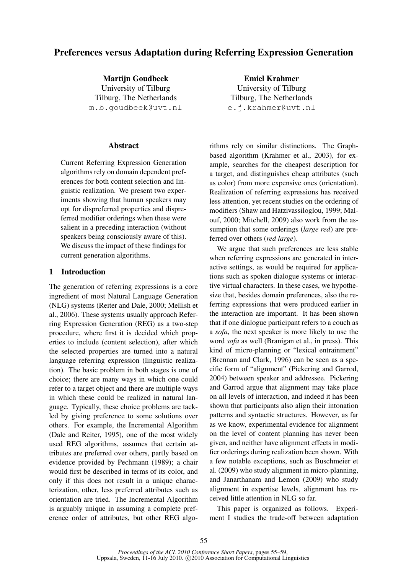# Preferences versus Adaptation during Referring Expression Generation

**Martiin Goudbeek** University of Tilburg Tilburg, The Netherlands m.b.goudbeek@uvt.nl

## Abstract

Current Referring Expression Generation algorithms rely on domain dependent preferences for both content selection and linguistic realization. We present two experiments showing that human speakers may opt for dispreferred properties and dispreferred modifier orderings when these were salient in a preceding interaction (without speakers being consciously aware of this). We discuss the impact of these findings for current generation algorithms.

## 1 Introduction

The generation of referring expressions is a core ingredient of most Natural Language Generation (NLG) systems (Reiter and Dale, 2000; Mellish et al., 2006). These systems usually approach Referring Expression Generation (REG) as a two-step procedure, where first it is decided which properties to include (content selection), after which the selected properties are turned into a natural language referring expression (linguistic realization). The basic problem in both stages is one of choice; there are many ways in which one could refer to a target object and there are multiple ways in which these could be realized in natural language. Typically, these choice problems are tackled by giving preference to some solutions over others. For example, the Incremental Algorithm (Dale and Reiter, 1995), one of the most widely used REG algorithms, assumes that certain attributes are preferred over others, partly based on evidence provided by Pechmann (1989); a chair would first be described in terms of its color, and only if this does not result in a unique characterization, other, less preferred attributes such as orientation are tried. The Incremental Algorithm is arguably unique in assuming a complete preference order of attributes, but other REG algo-

Emiel Krahmer University of Tilburg Tilburg, The Netherlands e.j.krahmer@uvt.nl

rithms rely on similar distinctions. The Graphbased algorithm (Krahmer et al., 2003), for example, searches for the cheapest description for a target, and distinguishes cheap attributes (such as color) from more expensive ones (orientation). Realization of referring expressions has received less attention, yet recent studies on the ordering of modifiers (Shaw and Hatzivassiloglou, 1999; Malouf, 2000; Mitchell, 2009) also work from the assumption that some orderings (*large red*) are preferred over others (*red large*).

We argue that such preferences are less stable when referring expressions are generated in interactive settings, as would be required for applications such as spoken dialogue systems or interactive virtual characters. In these cases, we hypothesize that, besides domain preferences, also the referring expressions that were produced earlier in the interaction are important. It has been shown that if one dialogue participant refers to a couch as a *sofa*, the next speaker is more likely to use the word *sofa* as well (Branigan et al., in press). This kind of micro-planning or "lexical entrainment" (Brennan and Clark, 1996) can be seen as a specific form of "alignment" (Pickering and Garrod, 2004) between speaker and addressee. Pickering and Garrod argue that alignment may take place on all levels of interaction, and indeed it has been shown that participants also align their intonation patterns and syntactic structures. However, as far as we know, experimental evidence for alignment on the level of content planning has never been given, and neither have alignment effects in modifier orderings during realization been shown. With a few notable exceptions, such as Buschmeier et al. (2009) who study alignment in micro-planning, and Janarthanam and Lemon (2009) who study alignment in expertise levels, alignment has received little attention in NLG so far.

This paper is organized as follows. Experiment I studies the trade-off between adaptation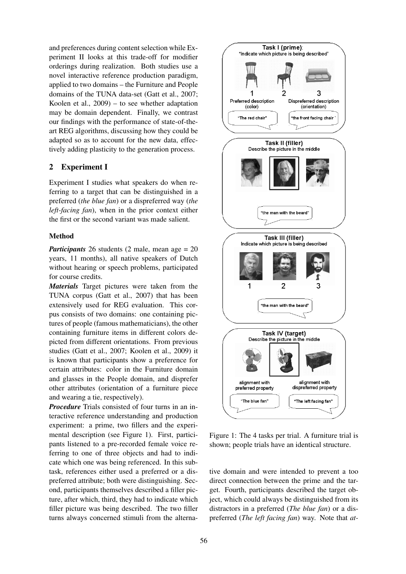and preferences during content selection while Experiment II looks at this trade-off for modifier orderings during realization. Both studies use a novel interactive reference production paradigm, applied to two domains – the Furniture and People domains of the TUNA data-set (Gatt et al., 2007; Koolen et al., 2009) – to see whether adaptation may be domain dependent. Finally, we contrast our findings with the performance of state-of-theart REG algorithms, discussing how they could be adapted so as to account for the new data, effectively adding plasticity to the generation process.

## 2 Experiment I

Experiment I studies what speakers do when referring to a target that can be distinguished in a preferred (*the blue fan*) or a dispreferred way (*the left-facing fan*), when in the prior context either the first or the second variant was made salient.

## **Method**

*Participants* 26 students (2 male, mean age = 20 years, 11 months), all native speakers of Dutch without hearing or speech problems, participated for course credits.

*Materials* Target pictures were taken from the TUNA corpus (Gatt et al., 2007) that has been extensively used for REG evaluation. This corpus consists of two domains: one containing pictures of people (famous mathematicians), the other containing furniture items in different colors depicted from different orientations. From previous studies (Gatt et al., 2007; Koolen et al., 2009) it is known that participants show a preference for certain attributes: color in the Furniture domain and glasses in the People domain, and disprefer other attributes (orientation of a furniture piece and wearing a tie, respectively).

*Procedure* Trials consisted of four turns in an interactive reference understanding and production experiment: a prime, two fillers and the experimental description (see Figure 1). First, participants listened to a pre-recorded female voice referring to one of three objects and had to indicate which one was being referenced. In this subtask, references either used a preferred or a dispreferred attribute; both were distinguishing. Second, participants themselves described a filler picture, after which, third, they had to indicate which filler picture was being described. The two filler turns always concerned stimuli from the alterna-



Figure 1: The 4 tasks per trial. A furniture trial is shown; people trials have an identical structure.

tive domain and were intended to prevent a too direct connection between the prime and the target. Fourth, participants described the target object, which could always be distinguished from its distractors in a preferred (*The blue fan*) or a dispreferred (*The left facing fan*) way. Note that *at-*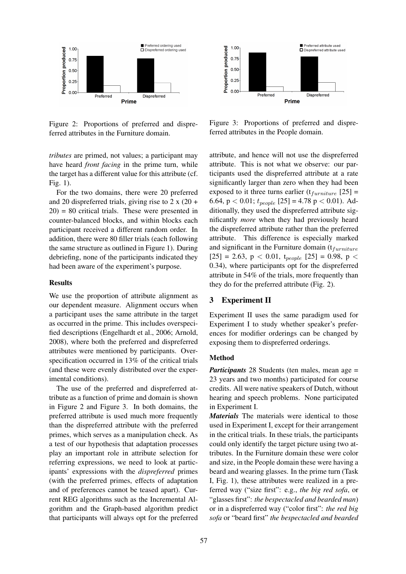

Figure 2: Proportions of preferred and dispreferred attributes in the Furniture domain.

*tributes* are primed, not values; a participant may have heard *front facing* in the prime turn, while the target has a different value for this attribute (cf. Fig. 1).

For the two domains, there were 20 preferred and 20 dispreferred trials, giving rise to 2 x (20 +  $20$ ) = 80 critical trials. These were presented in counter-balanced blocks, and within blocks each participant received a different random order. In addition, there were 80 filler trials (each following the same structure as outlined in Figure 1). During debriefing, none of the participants indicated they had been aware of the experiment's purpose.

#### **Results**

We use the proportion of attribute alignment as our dependent measure. Alignment occurs when a participant uses the same attribute in the target as occurred in the prime. This includes overspecified descriptions (Engelhardt et al., 2006; Arnold, 2008), where both the preferred and dispreferred attributes were mentioned by participants. Overspecification occurred in 13% of the critical trials (and these were evenly distributed over the experimental conditions).

The use of the preferred and dispreferred attribute as a function of prime and domain is shown in Figure 2 and Figure 3. In both domains, the preferred attribute is used much more frequently than the dispreferred attribute with the preferred primes, which serves as a manipulation check. As a test of our hypothesis that adaptation processes play an important role in attribute selection for referring expressions, we need to look at participants' expressions with the *dispreferred* primes (with the preferred primes, effects of adaptation and of preferences cannot be teased apart). Current REG algorithms such as the Incremental Algorithm and the Graph-based algorithm predict that participants will always opt for the preferred



Figure 3: Proportions of preferred and dispreferred attributes in the People domain.

attribute, and hence will not use the dispreferred attribute. This is not what we observe: our participants used the dispreferred attribute at a rate significantly larger than zero when they had been exposed to it three turns earlier  $(t_{furniture}$  [25] = 6.64,  $p < 0.01$ ;  $t_{people}$  [25] = 4.78  $p < 0.01$ ). Additionally, they used the dispreferred attribute significantly *more* when they had previously heard the dispreferred attribute rather than the preferred attribute. This difference is especially marked and significant in the Furniture domain  $(t<sub>furniture</sub>)$  $[25] = 2.63$ ,  $p < 0.01$ ,  $t_{people}$   $[25] = 0.98$ ,  $p <$ 0.34), where participants opt for the dispreferred attribute in 54% of the trials, more frequently than they do for the preferred attribute (Fig. 2).

#### 3 Experiment II

Experiment II uses the same paradigm used for Experiment I to study whether speaker's preferences for modifier orderings can be changed by exposing them to dispreferred orderings.

#### Method

*Participants* 28 Students (ten males, mean age = 23 years and two months) participated for course credits. All were native speakers of Dutch, without hearing and speech problems. None participated in Experiment I.

*Materials* The materials were identical to those used in Experiment I, except for their arrangement in the critical trials. In these trials, the participants could only identify the target picture using two attributes. In the Furniture domain these were color and size, in the People domain these were having a beard and wearing glasses. In the prime turn (Task I, Fig. 1), these attributes were realized in a preferred way ("size first": e.g., *the big red sofa*, or "glasses first": *the bespectacled and bearded man*) or in a dispreferred way ("color first": *the red big sofa* or "beard first" *the bespectacled and bearded*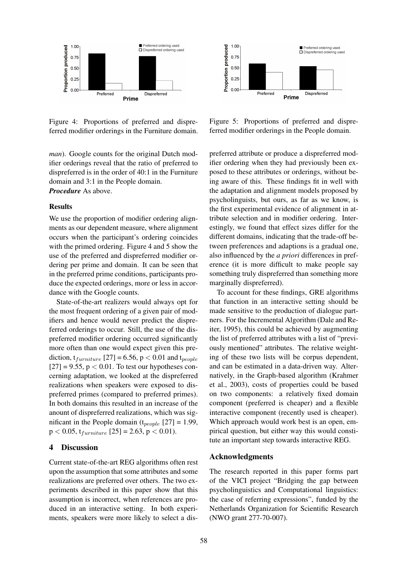

Figure 4: Proportions of preferred and dispreferred modifier orderings in the Furniture domain.

*man*). Google counts for the original Dutch modifier orderings reveal that the ratio of preferred to dispreferred is in the order of 40:1 in the Furniture domain and 3:1 in the People domain. *Procedure* As above.

#### Results

We use the proportion of modifier ordering alignments as our dependent measure, where alignment occurs when the participant's ordering coincides with the primed ordering. Figure 4 and 5 show the use of the preferred and dispreferred modifier ordering per prime and domain. It can be seen that in the preferred prime conditions, participants produce the expected orderings, more or less in accordance with the Google counts.

State-of-the-art realizers would always opt for the most frequent ordering of a given pair of modifiers and hence would never predict the dispreferred orderings to occur. Still, the use of the dispreferred modifier ordering occurred significantly more often than one would expect given this prediction,  $t_{\text{furniture}}$  [27] = 6.56, p < 0.01 and  $t_{\text{people}}$  $[27] = 9.55$ ,  $p < 0.01$ . To test our hypotheses concerning adaptation, we looked at the dispreferred realizations when speakers were exposed to dispreferred primes (compared to preferred primes). In both domains this resulted in an increase of the anount of dispreferred realizations, which was significant in the People domain ( $t_{people}$  [27] = 1.99,  $p < 0.05$ ,  $t_{furniture}$  [25] = 2.63,  $p < 0.01$ ).

#### 4 Discussion

Current state-of-the-art REG algorithms often rest upon the assumption that some attributes and some realizations are preferred over others. The two experiments described in this paper show that this assumption is incorrect, when references are produced in an interactive setting. In both experiments, speakers were more likely to select a dis-



Figure 5: Proportions of preferred and dispreferred modifier orderings in the People domain.

preferred attribute or produce a dispreferred modifier ordering when they had previously been exposed to these attributes or orderings, without being aware of this. These findings fit in well with the adaptation and alignment models proposed by psycholinguists, but ours, as far as we know, is the first experimental evidence of alignment in attribute selection and in modifier ordering. Interestingly, we found that effect sizes differ for the different domains, indicating that the trade-off between preferences and adaptions is a gradual one, also influenced by the *a priori* differences in preference (it is more difficult to make people say something truly dispreferred than something more marginally dispreferred).

To account for these findings, GRE algorithms that function in an interactive setting should be made sensitive to the production of dialogue partners. For the Incremental Algorithm (Dale and Reiter, 1995), this could be achieved by augmenting the list of preferred attributes with a list of "previously mentioned" attributes. The relative weighting of these two lists will be corpus dependent, and can be estimated in a data-driven way. Alternatively, in the Graph-based algorithm (Krahmer et al., 2003), costs of properties could be based on two components: a relatively fixed domain component (preferred is cheaper) and a flexible interactive component (recently used is cheaper). Which approach would work best is an open, empirical question, but either way this would constitute an important step towards interactive REG.

#### Acknowledgments

The research reported in this paper forms part of the VICI project "Bridging the gap between psycholinguistics and Computational linguistics: the case of referring expressions", funded by the Netherlands Organization for Scientific Research (NWO grant 277-70-007).